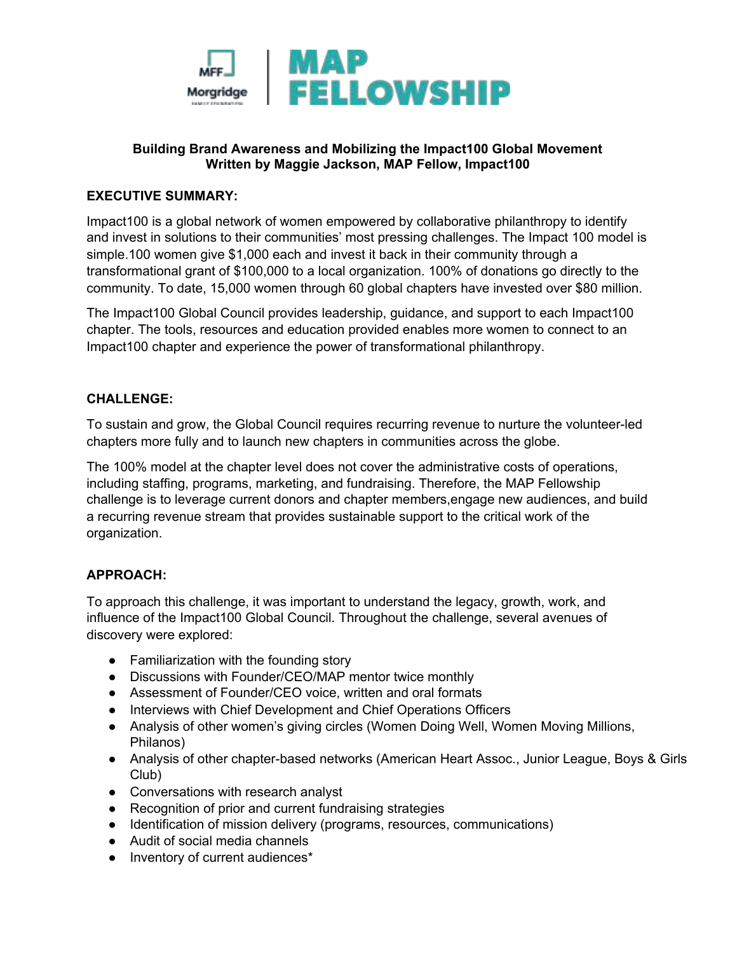

## **Building Brand Awareness and Mobilizing the Impact100 Global Movement Written by Maggie Jackson, MAP Fellow, Impact100**

## **EXECUTIVE SUMMARY:**

Impact100 is a global network of women empowered by collaborative philanthropy to identify and invest in solutions to their communities' most pressing challenges. The Impact 100 model is simple.100 women give \$1,000 each and invest it back in their community through a transformational grant of \$100,000 to a local organization. 100% of donations go directly to the community. To date, 15,000 women through 60 global chapters have invested over \$80 million.

The Impact100 Global Council provides leadership, guidance, and support to each Impact100 chapter. The tools, resources and education provided enables more women to connect to an Impact100 chapter and experience the power of transformational philanthropy.

#### **CHALLENGE:**

To sustain and grow, the Global Council requires recurring revenue to nurture the volunteer-led chapters more fully and to launch new chapters in communities across the globe.

The 100% model at the chapter level does not cover the administrative costs of operations, including staffing, programs, marketing, and fundraising. Therefore, the MAP Fellowship challenge is to leverage current donors and chapter members,engage new audiences, and build a recurring revenue stream that provides sustainable support to the critical work of the organization.

#### **APPROACH:**

To approach this challenge, it was important to understand the legacy, growth, work, and influence of the Impact100 Global Council. Throughout the challenge, several avenues of discovery were explored:

- Familiarization with the founding story
- Discussions with Founder/CEO/MAP mentor twice monthly
- Assessment of Founder/CEO voice, written and oral formats
- Interviews with Chief Development and Chief Operations Officers
- Analysis of other women's giving circles (Women Doing Well, Women Moving Millions, Philanos)
- Analysis of other chapter-based networks (American Heart Assoc., Junior League, Boys & Girls Club)
- Conversations with research analyst
- Recognition of prior and current fundraising strategies
- Identification of mission delivery (programs, resources, communications)
- Audit of social media channels
- Inventory of current audiences\*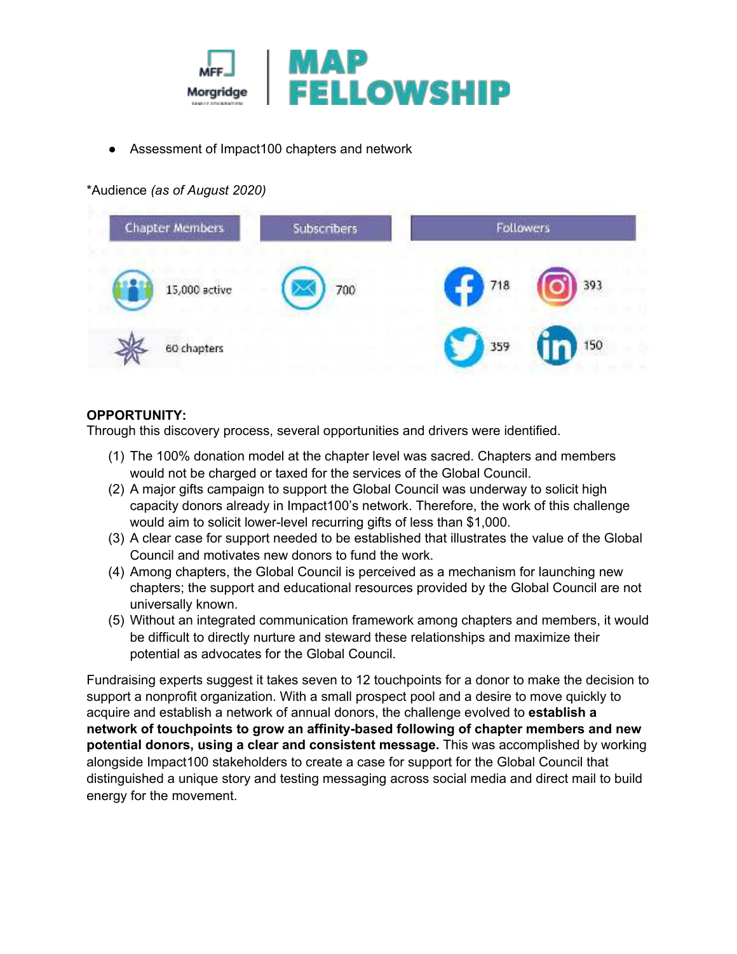

Assessment of Impact 100 chapters and network

# \*Audience *(as of August 2020)*



# **OPPORTUNITY:**

Through this discovery process, several opportunities and drivers were identified.

- (1) The 100% donation model at the chapter level was sacred. Chapters and members would not be charged or taxed for the services of the Global Council.
- (2) A major gifts campaign to support the Global Council was underway to solicit high capacity donors already in Impact100's network. Therefore, the work of this challenge would aim to solicit lower-level recurring gifts of less than \$1,000.
- (3) A clear case for support needed to be established that illustrates the value of the Global Council and motivates new donors to fund the work.
- (4) Among chapters, the Global Council is perceived as a mechanism for launching new chapters; the support and educational resources provided by the Global Council are not universally known.
- (5) Without an integrated communication framework among chapters and members, it would be difficult to directly nurture and steward these relationships and maximize their potential as advocates for the Global Council.

Fundraising experts suggest it takes seven to 12 touchpoints for a donor to make the decision to support a nonprofit organization. With a small prospect pool and a desire to move quickly to acquire and establish a network of annual donors, the challenge evolved to **establish a network of touchpoints to grow an affinity-based following of chapter members and new potential donors, using a clear and consistent message.** This was accomplished by working alongside Impact100 stakeholders to create a case for support for the Global Council that distinguished a unique story and testing messaging across social media and direct mail to build energy for the movement.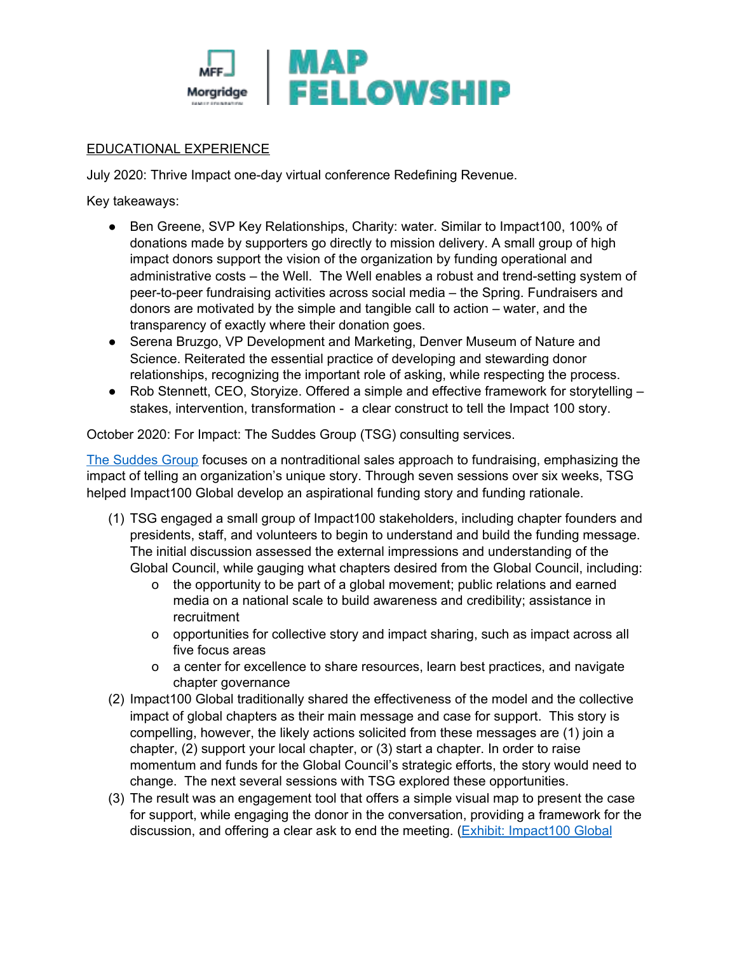

# EDUCATIONAL EXPERIENCE

July 2020: Thrive Impact one-day virtual conference Redefining Revenue.

Key takeaways:

- Ben Greene, SVP Key Relationships, Charity: water. Similar to Impact100, 100% of donations made by supporters go directly to mission delivery. A small group of high impact donors support the vision of the organization by funding operational and administrative costs – the Well. The Well enables a robust and trend-setting system of peer-to-peer fundraising activities across social media – the Spring. Fundraisers and donors are motivated by the simple and tangible call to action – water, and the transparency of exactly where their donation goes.
- Serena Bruzgo, VP Development and Marketing, Denver Museum of Nature and Science. Reiterated the essential practice of developing and stewarding donor relationships, recognizing the important role of asking, while respecting the process.
- Rob Stennett, CEO, Storyize. Offered a simple and effective framework for storytelling stakes, intervention, transformation - a clear construct to tell the Impact 100 story.

October 2020: For Impact: The Suddes Group (TSG) consulting services.

[The Suddes Group](https://forimpact.org/what-we-do/) focuses on a nontraditional sales approach to fundraising, emphasizing the impact of telling an organization's unique story. Through seven sessions over six weeks, TSG helped Impact100 Global develop an aspirational funding story and funding rationale.

- (1) TSG engaged a small group of Impact100 stakeholders, including chapter founders and presidents, staff, and volunteers to begin to understand and build the funding message. The initial discussion assessed the external impressions and understanding of the Global Council, while gauging what chapters desired from the Global Council, including:
	- o the opportunity to be part of a global movement; public relations and earned media on a national scale to build awareness and credibility; assistance in recruitment
	- o opportunities for collective story and impact sharing, such as impact across all five focus areas
	- o a center for excellence to share resources, learn best practices, and navigate chapter governance
- (2) Impact100 Global traditionally shared the effectiveness of the model and the collective impact of global chapters as their main message and case for support. This story is compelling, however, the likely actions solicited from these messages are (1) join a chapter, (2) support your local chapter, or (3) start a chapter. In order to raise momentum and funds for the Global Council's strategic efforts, the story would need to change. The next several sessions with TSG explored these opportunities.
- (3) The result was an engagement tool that offers a simple visual map to present the case for support, while engaging the donor in the conversation, providing a framework for the discussion, and offering a clear ask to end the meeting. (Exhibit: Impact100 Global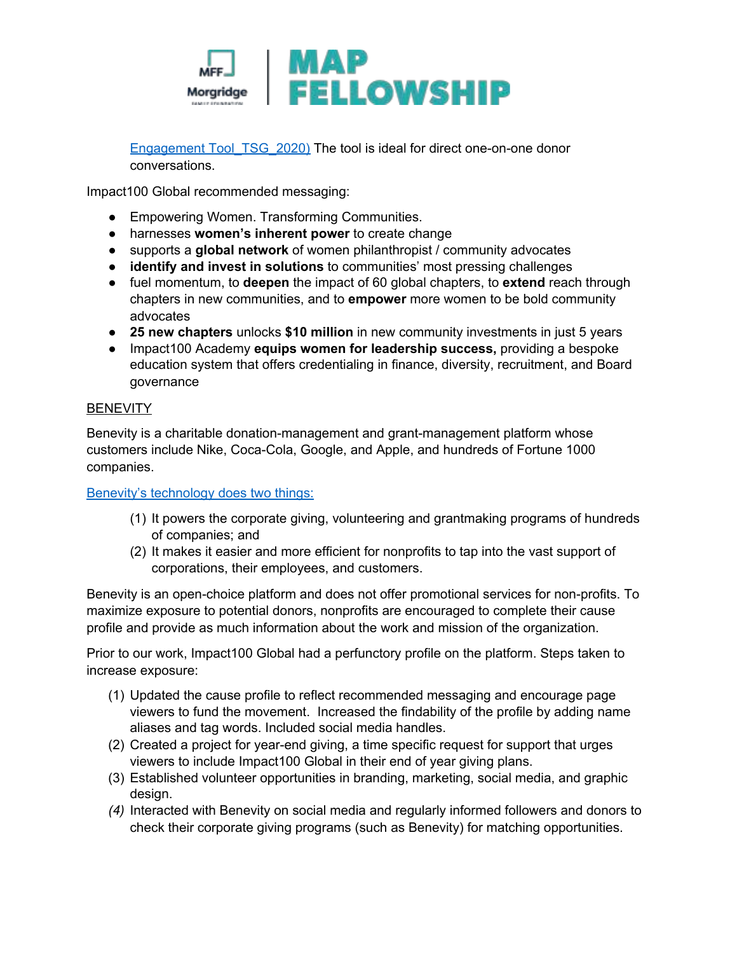

Engagement Tool TSG 2020) The tool is ideal for direct one-on-one donor conversations.

Impact100 Global recommended messaging:

- Empowering Women. Transforming Communities.
- harnesses **women's inherent power** to create change
- supports a **global network** of women philanthropist / community advocates
- **identify and invest in solutions** to communities' most pressing challenges
- fuel momentum, to **deepen** the impact of 60 global chapters, to **extend** reach through chapters in new communities, and to **empower** more women to be bold community advocates
- **25 new chapters** unlocks **\$10 million** in new community investments in just 5 years
- Impact100 Academy **equips women for leadership success,** providing a bespoke education system that offers credentialing in finance, diversity, recruitment, and Board governance

#### **BENEVITY**

Benevity is a charitable donation-management and grant-management platform whose customers include Nike, Coca-Cola, Google, and Apple, and hundreds of Fortune 1000 companies.

#### [Benevity's technology does two things:](https://www.benevity.com/)

- (1) It powers the corporate giving, volunteering and grantmaking programs of hundreds of companies; and
- (2) It makes it easier and more efficient for nonprofits to tap into the vast support of corporations, their employees, and customers.

Benevity is an open-choice platform and does not offer promotional services for non-profits. To maximize exposure to potential donors, nonprofits are encouraged to complete their cause profile and provide as much information about the work and mission of the organization.

Prior to our work, Impact100 Global had a perfunctory profile on the platform. Steps taken to increase exposure:

- (1) Updated the cause profile to reflect recommended messaging and encourage page viewers to fund the movement. Increased the findability of the profile by adding name aliases and tag words. Included social media handles.
- (2) Created a project for year-end giving, a time specific request for support that urges viewers to include Impact100 Global in their end of year giving plans.
- (3) Established volunteer opportunities in branding, marketing, social media, and graphic design.
- *(4)* Interacted with Benevity on social media and regularly informed followers and donors to check their corporate giving programs (such as Benevity) for matching opportunities.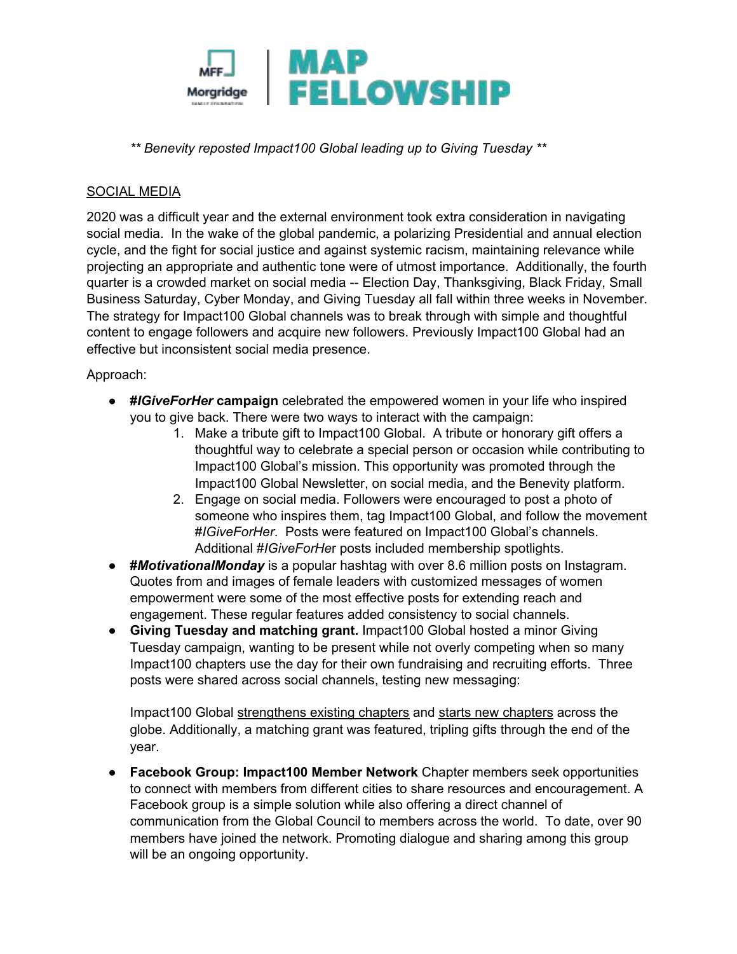

*\*\* Benevity reposted Impact100 Global leading up to Giving Tuesday \*\** 

# SOCIAL MEDIA

2020 was a difficult year and the external environment took extra consideration in navigating social media. In the wake of the global pandemic, a polarizing Presidential and annual election cycle, and the fight for social justice and against systemic racism, maintaining relevance while projecting an appropriate and authentic tone were of utmost importance. Additionally, the fourth quarter is a crowded market on social media -- Election Day, Thanksgiving, Black Friday, Small Business Saturday, Cyber Monday, and Giving Tuesday all fall within three weeks in November. The strategy for Impact100 Global channels was to break through with simple and thoughtful content to engage followers and acquire new followers. Previously Impact100 Global had an effective but inconsistent social media presence.

## Approach:

- **#***IGiveForHer* **campaign** celebrated the empowered women in your life who inspired you to give back. There were two ways to interact with the campaign:
	- 1. Make a tribute gift to Impact100 Global. A tribute or honorary gift offers a thoughtful way to celebrate a special person or occasion while contributing to Impact100 Global's mission. This opportunity was promoted through the Impact100 Global Newsletter, on social media, and the Benevity platform.
	- 2. Engage on social media. Followers were encouraged to post a photo of someone who inspires them, tag Impact100 Global, and follow the movement #*IGiveForHer*. Posts were featured on Impact100 Global's channels. Additional #*IGiveForHe*r posts included membership spotlights.
- **#***MotivationalMonday* is a popular hashtag with over 8.6 million posts on Instagram. Quotes from and images of female leaders with customized messages of women empowerment were some of the most effective posts for extending reach and engagement. These regular features added consistency to social channels.
- **Giving Tuesday and matching grant.** Impact100 Global hosted a minor Giving Tuesday campaign, wanting to be present while not overly competing when so many Impact100 chapters use the day for their own fundraising and recruiting efforts. Three posts were shared across social channels, testing new messaging:

Impact100 Global strengthens existing chapters and starts new chapters across the globe. Additionally, a matching grant was featured, tripling gifts through the end of the year.

● **Facebook Group: Impact100 Member Network** Chapter members seek opportunities to connect with members from different cities to share resources and encouragement. A Facebook group is a simple solution while also offering a direct channel of communication from the Global Council to members across the world. To date, over 90 members have joined the network. Promoting dialogue and sharing among this group will be an ongoing opportunity.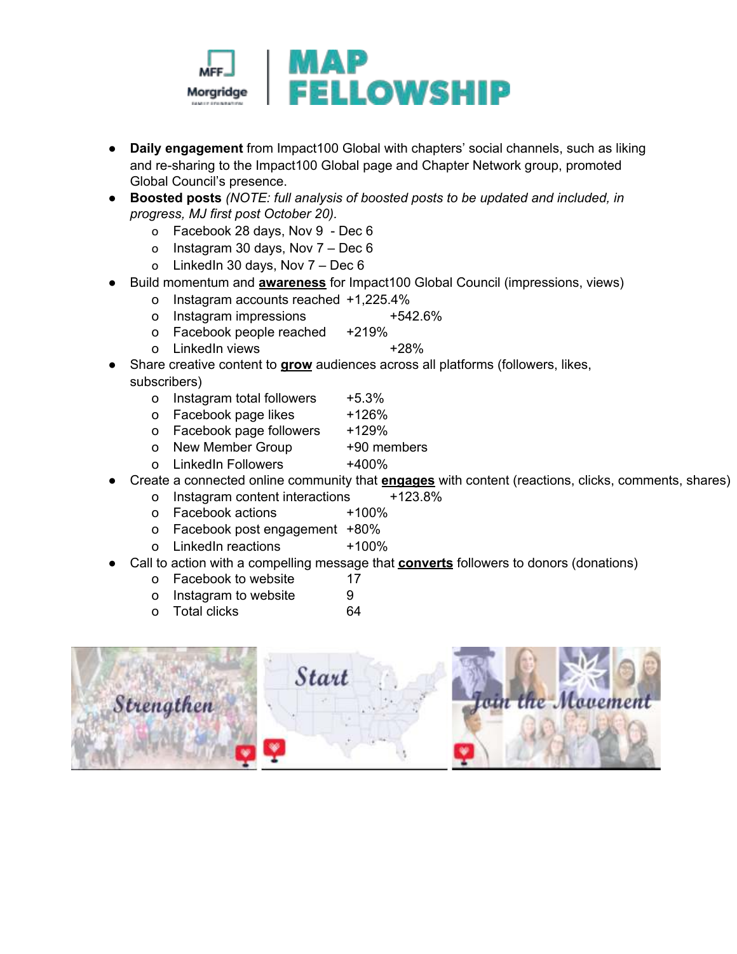

- **Daily engagement** from Impact100 Global with chapters' social channels, such as liking and re-sharing to the Impact100 Global page and Chapter Network group, promoted Global Council's presence.
- **Boosted posts** *(NOTE: full analysis of boosted posts to be updated and included, in progress, MJ first post October 20).*
	- o Facebook 28 days, Nov 9 Dec 6
	- o Instagram 30 days, Nov 7 Dec 6
	- o LinkedIn 30 days, Nov 7 Dec 6
- Build momentum and **awareness** for Impact100 Global Council (impressions, views)
	- o Instagram accounts reached +1,225.4%
	- o Instagram impressions +542.6%
	- o Facebook people reached +219%
	- o LinkedIn views +28%
- Share creative content to **grow** audiences across all platforms (followers, likes, subscribers)
	- o Instagram total followers +5.3%
	- o Facebook page likes +126%
	- o Facebook page followers +129%
	- o New Member Group +90 members
	- o LinkedIn Followers +400%
- Create a connected online community that **engages** with content (reactions, clicks, comments, shares)
	- o Instagram content interactions +123.8%
	- o Facebook actions +100%
	- o Facebook post engagement +80%
	- o LinkedIn reactions +100%
- Call to action with a compelling message that **converts** followers to donors (donations)
	- o Facebook to website 17
	- o Instagram to website 9
	- o Total clicks 64

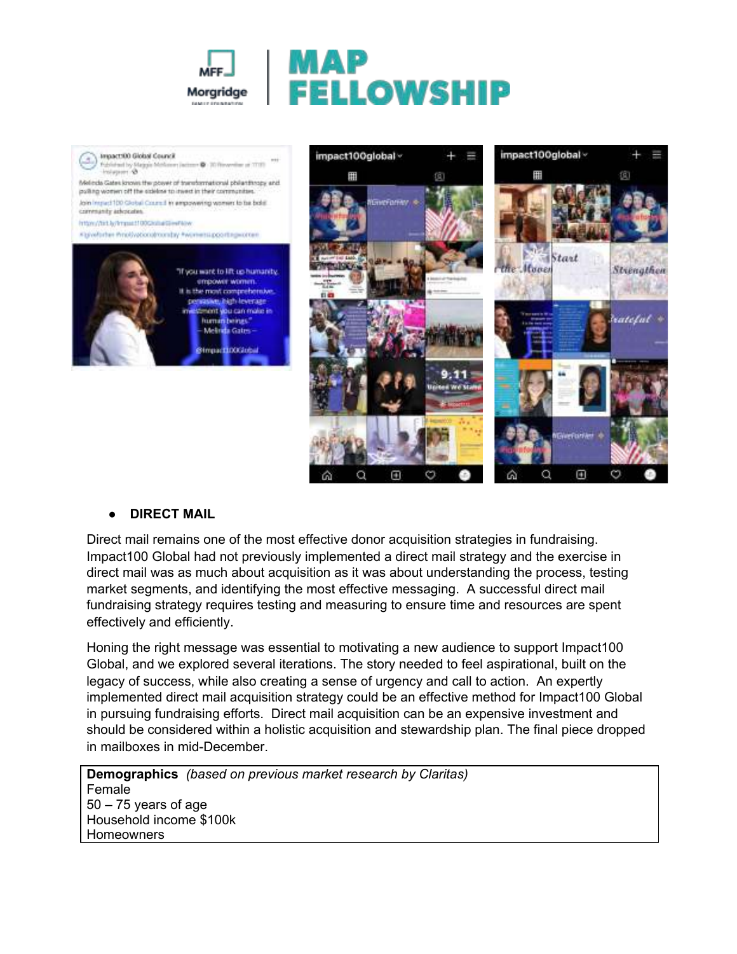





#### **● DIRECT MAIL**

Direct mail remains one of the most effective donor acquisition strategies in fundraising. Impact100 Global had not previously implemented a direct mail strategy and the exercise in direct mail was as much about acquisition as it was about understanding the process, testing market segments, and identifying the most effective messaging. A successful direct mail fundraising strategy requires testing and measuring to ensure time and resources are spent effectively and efficiently.

Honing the right message was essential to motivating a new audience to support Impact100 Global, and we explored several iterations. The story needed to feel aspirational, built on the legacy of success, while also creating a sense of urgency and call to action. An expertly implemented direct mail acquisition strategy could be an effective method for Impact100 Global in pursuing fundraising efforts. Direct mail acquisition can be an expensive investment and should be considered within a holistic acquisition and stewardship plan. The final piece dropped in mailboxes in mid-December.

**Demographics** *(based on previous market research by Claritas)*  Female 50 – 75 years of age Household income \$100k **Homeowners**